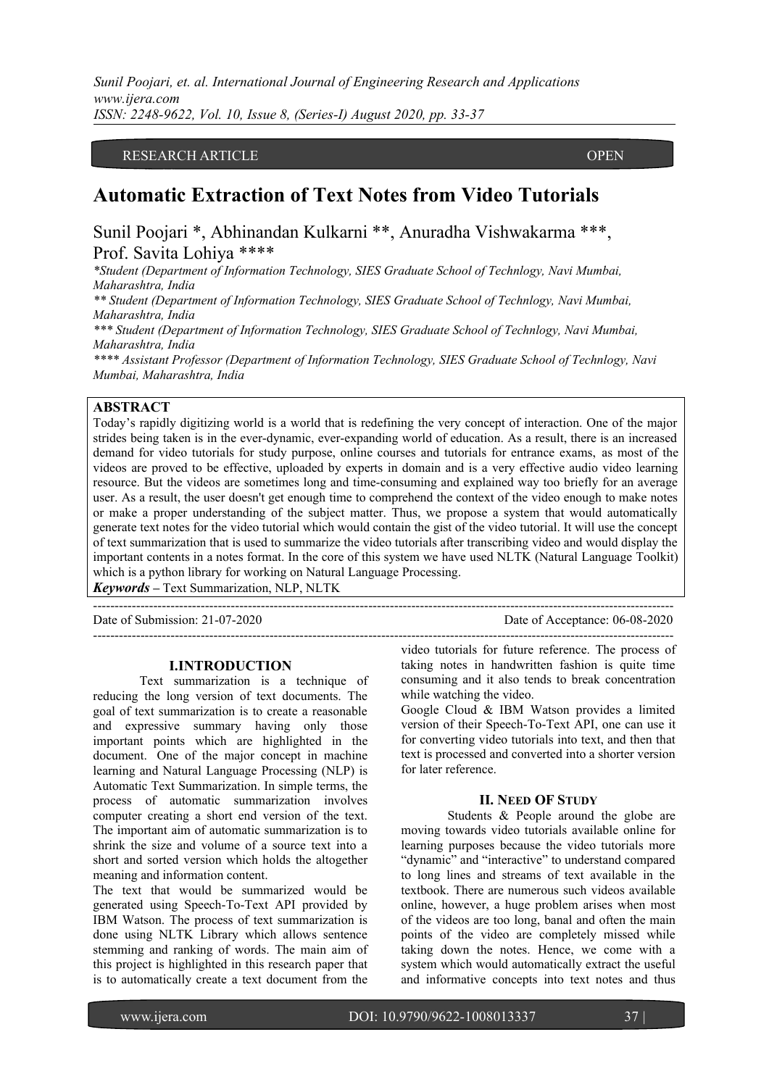# RESEARCH ARTICLE **CONTRACT ARTICLE**

ACCESS

# **Automatic Extraction of Text Notes from Video Tutorials**

Sunil Poojari \*, Abhinandan Kulkarni \*\*, Anuradha Vishwakarma \*\*\*, Prof. Savita Lohiya \*\*\*\*

*\*Student (Department of Information Technology, SIES Graduate School of Technlogy, Navi Mumbai, Maharashtra, India*

*\*\* Student (Department of Information Technology, SIES Graduate School of Technlogy, Navi Mumbai, Maharashtra, India*

*\*\*\* Student (Department of Information Technology, SIES Graduate School of Technlogy, Navi Mumbai, Maharashtra, India*

*\*\*\*\* Assistant Professor (Department of Information Technology, SIES Graduate School of Technlogy, Navi Mumbai, Maharashtra, India*

# **ABSTRACT**

Today's rapidly digitizing world is a world that is redefining the very concept of interaction. One of the major strides being taken is in the ever-dynamic, ever-expanding world of education. As a result, there is an increased demand for video tutorials for study purpose, online courses and tutorials for entrance exams, as most of the videos are proved to be effective, uploaded by experts in domain and is a very effective audio video learning resource. But the videos are sometimes long and time-consuming and explained way too briefly for an average user. As a result, the user doesn't get enough time to comprehend the context of the video enough to make notes or make a proper understanding of the subject matter. Thus, we propose a system that would automatically generate text notes for the video tutorial which would contain the gist of the video tutorial. It will use the concept of text summarization that is used to summarize the video tutorials after transcribing video and would display the important contents in a notes format. In the core of this system we have used NLTK (Natural Language Toolkit) which is a python library for working on Natural Language Processing.

*Keywords –* Text Summarization, NLP, NLTK

Date of Submission: 21-07-2020 Date of Acceptance: 06-08-2020

---------------------------------------------------------------------------------------------------------------------------------------

---------------------------------------------------------------------------------------------------------------------------------------

#### **I.INTRODUCTION**

Text summarization is a technique of reducing the long version of text documents. The goal of text summarization is to create a reasonable and expressive summary having only those important points which are highlighted in the document. One of the major concept in machine learning and Natural Language Processing (NLP) is Automatic Text Summarization. In simple terms, the process of automatic summarization involves computer creating a short end version of the text. The important aim of automatic summarization is to shrink the size and volume of a source text into a short and sorted version which holds the altogether meaning and information content.

The text that would be summarized would be generated using Speech-To-Text API provided by IBM Watson. The process of text summarization is done using NLTK Library which allows sentence stemming and ranking of words. The main aim of this project is highlighted in this research paper that is to automatically create a text document from the

video tutorials for future reference. The process of taking notes in handwritten fashion is quite time consuming and it also tends to break concentration while watching the video.

Google Cloud & IBM Watson provides a limited version of their Speech-To-Text API, one can use it for converting video tutorials into text, and then that text is processed and converted into a shorter version for later reference.

#### **II. NEED OF STUDY**

Students & People around the globe are moving towards video tutorials available online for learning purposes because the video tutorials more "dynamic" and "interactive" to understand compared to long lines and streams of text available in the textbook. There are numerous such videos available online, however, a huge problem arises when most of the videos are too long, banal and often the main points of the video are completely missed while taking down the notes. Hence, we come with a system which would automatically extract the useful and informative concepts into text notes and thus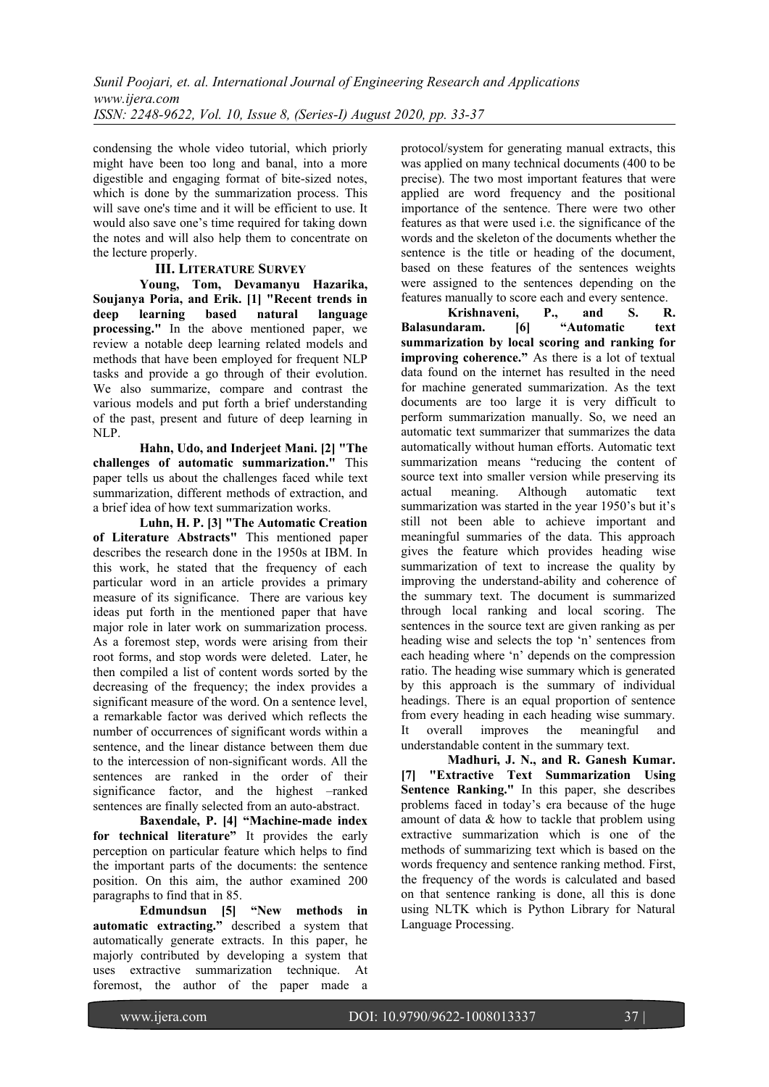condensing the whole video tutorial, which priorly might have been too long and banal, into a more digestible and engaging format of bite-sized notes, which is done by the summarization process. This will save one's time and it will be efficient to use. It would also save one's time required for taking down the notes and will also help them to concentrate on the lecture properly.

# **III. LITERATURE SURVEY**

**Young, Tom, Devamanyu Hazarika, Soujanya Poria, and Erik. [1] "Recent trends in deep learning based natural language processing."** In the above mentioned paper, we review a notable deep learning related models and methods that have been employed for frequent NLP tasks and provide a go through of their evolution. We also summarize, compare and contrast the various models and put forth a brief understanding of the past, present and future of deep learning in NLP.

**Hahn, Udo, and Inderjeet Mani. [2] "The challenges of automatic summarization."** This paper tells us about the challenges faced while text summarization, different methods of extraction, and a brief idea of how text summarization works.

**Luhn, H. P. [3] "The Automatic Creation of Literature Abstracts"** This mentioned paper describes the research done in the 1950s at IBM. In this work, he stated that the frequency of each particular word in an article provides a primary measure of its significance. There are various key ideas put forth in the mentioned paper that have major role in later work on summarization process. As a foremost step, words were arising from their root forms, and stop words were deleted. Later, he then compiled a list of content words sorted by the decreasing of the frequency; the index provides a significant measure of the word. On a sentence level, a remarkable factor was derived which reflects the number of occurrences of significant words within a sentence, and the linear distance between them due to the intercession of non-significant words. All the sentences are ranked in the order of their significance factor, and the highest –ranked sentences are finally selected from an auto-abstract.

**Baxendale, P. [4] "Machine-made index for technical literature"** It provides the early perception on particular feature which helps to find the important parts of the documents: the sentence position. On this aim, the author examined 200 paragraphs to find that in 85.

**Edmundsun [5] "New methods in automatic extracting."** described a system that automatically generate extracts. In this paper, he majorly contributed by developing a system that uses extractive summarization technique. At foremost, the author of the paper made a

protocol/system for generating manual extracts, this was applied on many technical documents (400 to be precise). The two most important features that were applied are word frequency and the positional importance of the sentence. There were two other features as that were used i.e. the significance of the words and the skeleton of the documents whether the sentence is the title or heading of the document, based on these features of the sentences weights were assigned to the sentences depending on the features manually to score each and every sentence.

**Krishnaveni, P., and S. R. Balasundaram. [6] "Automatic text summarization by local scoring and ranking for improving coherence."** As there is a lot of textual data found on the internet has resulted in the need for machine generated summarization. As the text documents are too large it is very difficult to perform summarization manually. So, we need an automatic text summarizer that summarizes the data automatically without human efforts. Automatic text summarization means "reducing the content of source text into smaller version while preserving its actual meaning. Although automatic text summarization was started in the year 1950's but it's still not been able to achieve important and meaningful summaries of the data. This approach gives the feature which provides heading wise summarization of text to increase the quality by improving the understand-ability and coherence of the summary text. The document is summarized through local ranking and local scoring. The sentences in the source text are given ranking as per heading wise and selects the top 'n' sentences from each heading where 'n' depends on the compression ratio. The heading wise summary which is generated by this approach is the summary of individual headings. There is an equal proportion of sentence from every heading in each heading wise summary. It overall improves the meaningful and understandable content in the summary text.

**Madhuri, J. N., and R. Ganesh Kumar. [7] "Extractive Text Summarization Using Sentence Ranking."** In this paper, she describes problems faced in today's era because of the huge amount of data & how to tackle that problem using extractive summarization which is one of the methods of summarizing text which is based on the words frequency and sentence ranking method. First, the frequency of the words is calculated and based on that sentence ranking is done, all this is done using NLTK which is Python Library for Natural Language Processing.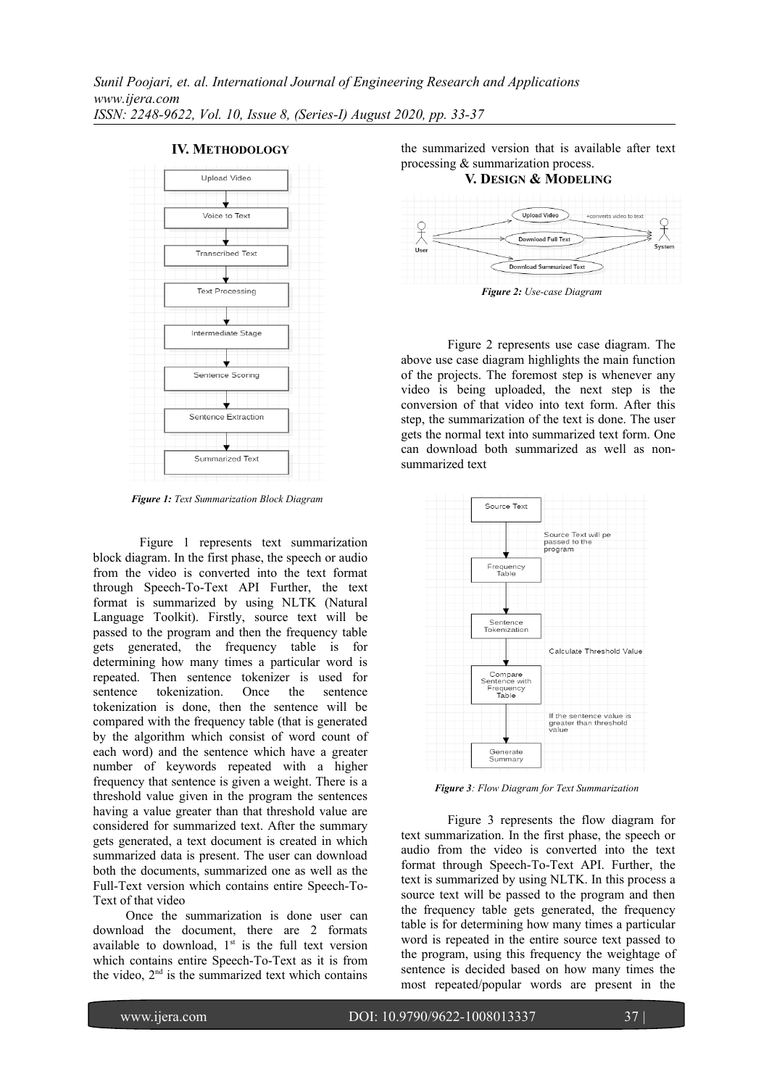

**IV. METHODOLOGY**

*Figure 1: Text Summarization Block Diagram*

Figure 1 represents text summarization block diagram. In the first phase, the speech or audio from the video is converted into the text format through Speech-To-Text API Further, the text format is summarized by using NLTK (Natural Language Toolkit). Firstly, source text will be passed to the program and then the frequency table gets generated, the frequency table is for determining how many times a particular word is repeated. Then sentence tokenizer is used for sentence tokenization. Once the sentence tokenization is done, then the sentence will be compared with the frequency table (that is generated by the algorithm which consist of word count of each word) and the sentence which have a greater number of keywords repeated with a higher frequency that sentence is given a weight. There is a threshold value given in the program the sentences having a value greater than that threshold value are considered for summarized text. After the summary gets generated, a text document is created in which summarized data is present. The user can download both the documents, summarized one as well as the Full-Text version which contains entire Speech-To-Text of that video

 Once the summarization is done user can download the document, there are 2 formats available to download,  $1<sup>st</sup>$  is the full text version which contains entire Speech-To-Text as it is from the video,  $2<sup>nd</sup>$  is the summarized text which contains

the summarized version that is available after text processing & summarization process.

# **V. DESIGN & MODELING** Upload Video the video to toy Download Summarized Text

*Figure 2: Use-case Diagram*

Figure 2 represents use case diagram. The above use case diagram highlights the main function of the projects. The foremost step is whenever any video is being uploaded, the next step is the conversion of that video into text form. After this step, the summarization of the text is done. The user gets the normal text into summarized text form. One can download both summarized as well as nonsummarized text



*Figure 3: Flow Diagram for Text Summarization*

Figure 3 represents the flow diagram for text summarization. In the first phase, the speech or audio from the video is converted into the text format through Speech-To-Text API. Further, the text is summarized by using NLTK. In this process a source text will be passed to the program and then the frequency table gets generated, the frequency table is for determining how many times a particular word is repeated in the entire source text passed to the program, using this frequency the weightage of sentence is decided based on how many times the most repeated/popular words are present in the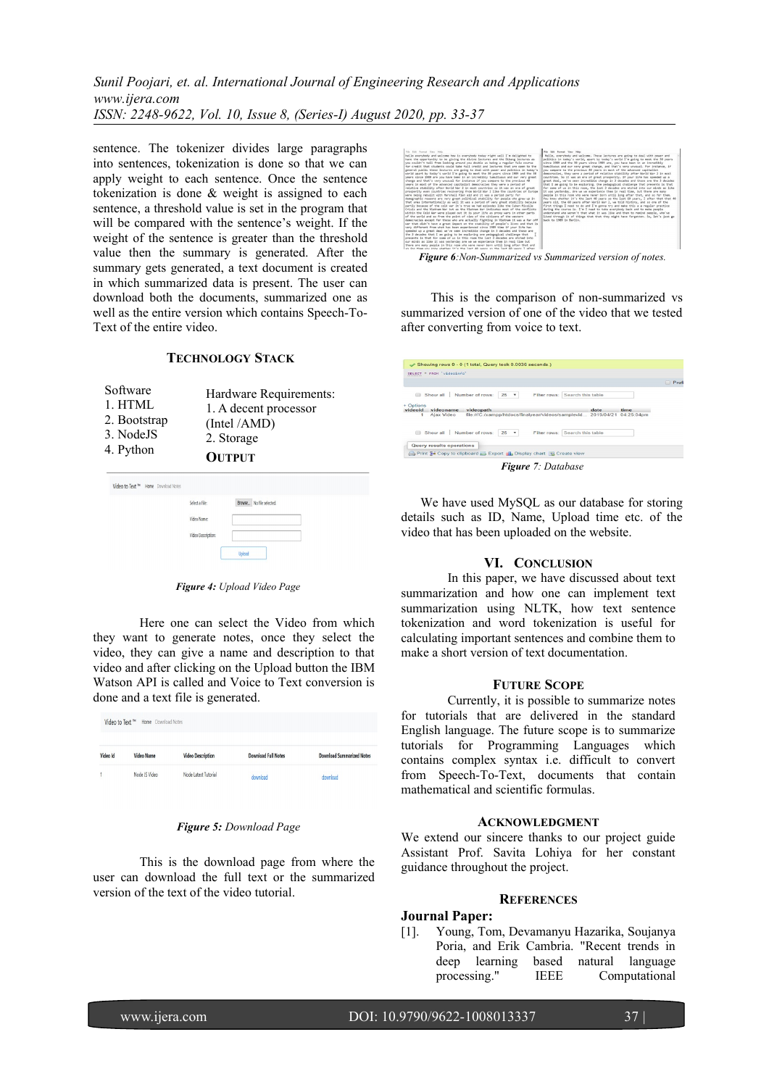*Sunil Poojari, et. al. International Journal of Engineering Research and Applications www.ijera.com ISSN: 2248-9622, Vol. 10, Issue 8, (Series-I) August 2020, pp. 33-37*

sentence. The tokenizer divides large paragraphs into sentences, tokenization is done so that we can apply weight to each sentence. Once the sentence tokenization is done & weight is assigned to each sentence, a threshold value is set in the program that will be compared with the sentence's weight. If the weight of the sentence is greater than the threshold value then the summary is generated. After the summary gets generated, a text document is created in which summarized data is present. The user can download both the documents, summarized one as well as the entire version which contains Speech-To-Text of the entire video.

# **TECHNOLOGY STACK**

- Software 1. HTML 2. Bootstrap 3. NodeJS Hardware Requirements: 1. A decent processor (Intel /AMD) 2. Storage
- **OUTPUT** 4. Python

| Video to Text <sup>n</sup> Home Download Notes |                    |                          |
|------------------------------------------------|--------------------|--------------------------|
|                                                | Select a File:     | Browse No file selected. |
|                                                | Video Name:        |                          |
|                                                | Video Description: |                          |
|                                                |                    | Upload                   |

*Figure 4: Upload Video Page*

Here one can select the Video from which they want to generate notes, once they select the video, they can give a name and description to that video and after clicking on the Upload button the IBM Watson API is called and Voice to Text conversion is done and a text file is generated.

| Video to Text™ |                   | Home Download Notes      |                            |                                  |  |  |  |
|----------------|-------------------|--------------------------|----------------------------|----------------------------------|--|--|--|
|                |                   |                          |                            |                                  |  |  |  |
| Video Id       | <b>Video Name</b> | <b>Video Description</b> | <b>Download Full Notes</b> | <b>Download Summarized Notes</b> |  |  |  |
|                | Node JS Video     | Node Latest Tutorial     | download                   | download                         |  |  |  |

#### *Figure 5: Download Page*

This is the download page from where the user can download the full text or the summarized version of the text of the video tutorial.



 This is the comparison of non-summarized vs summarized version of one of the video that we tested

after converting from voice to text.

| SELECT * FROM 'videoinfo'                                                   |                |              |                                                               |            |  |
|-----------------------------------------------------------------------------|----------------|--------------|---------------------------------------------------------------|------------|--|
|                                                                             |                |              |                                                               |            |  |
| Show all<br>Number of rows:                                                 | $25$ $\bullet$ | Filter rows: | Search this table                                             |            |  |
| + Options<br>videoid<br>videopath<br>videoname                              |                |              | date                                                          | time       |  |
| Aiax Video                                                                  |                |              | file:///C:/xampp/htdocs/finalyear/videos/samplevid 2019/04/21 | 04:25:04pm |  |
| Show all<br>Number of rows:<br>m                                            | $25 - 7$       |              | Filter rows: Search this table                                |            |  |
| Query results operations                                                    |                |              |                                                               |            |  |
| the Print 3-c Copy to clipboard 4-1 Export all Display chart is Create view |                |              |                                                               |            |  |

 We have used MySQL as our database for storing details such as ID, Name, Upload time etc. of the video that has been uploaded on the website.

### **VI. CONCLUSION**

In this paper, we have discussed about text summarization and how one can implement text summarization using NLTK, how text sentence tokenization and word tokenization is useful for calculating important sentences and combine them to make a short version of text documentation.

#### **FUTURE SCOPE**

Currently, it is possible to summarize notes for tutorials that are delivered in the standard English language. The future scope is to summarize tutorials for Programming Languages which contains complex syntax i.e. difficult to convert from Speech-To-Text, documents that contain mathematical and scientific formulas.

#### **ACKNOWLEDGMENT**

We extend our sincere thanks to our project guide Assistant Prof. Savita Lohiya for her constant guidance throughout the project.

## **REFERENCES**

# **Journal Paper:**

[1]. Young, Tom, Devamanyu Hazarika, Soujanya Poria, and Erik Cambria. "Recent trends in deep learning based natural language processing." IEEE Computational